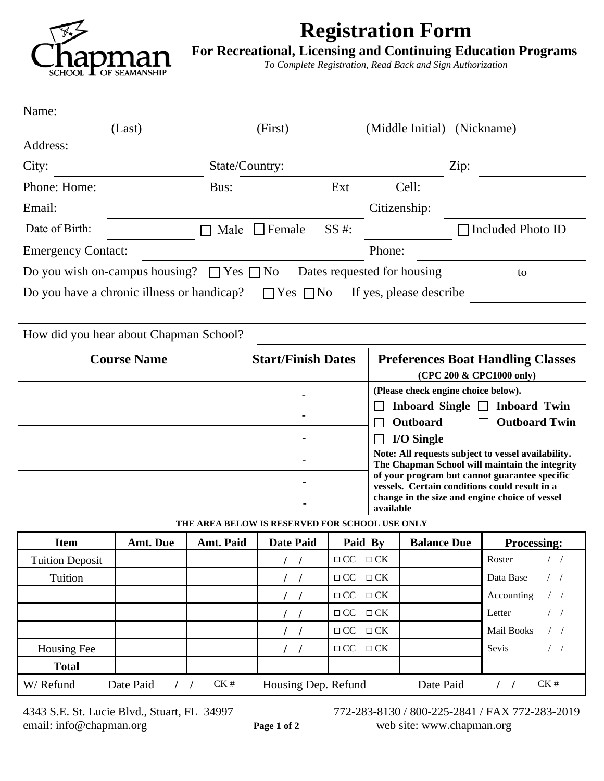

# **Registration Form**

**For Recreational, Licensing and Continuing Education Programs**

*To Complete Registration, Read Back and Sign Authorization*

| Name:                                                                                         |                |           |                                                |           |           |                                          |  |                                                                                                      |  |
|-----------------------------------------------------------------------------------------------|----------------|-----------|------------------------------------------------|-----------|-----------|------------------------------------------|--|------------------------------------------------------------------------------------------------------|--|
|                                                                                               | (Last)         |           | (First)                                        |           |           | (Middle Initial) (Nickname)              |  |                                                                                                      |  |
| Address:                                                                                      |                |           |                                                |           |           |                                          |  |                                                                                                      |  |
| City:                                                                                         | State/Country: |           |                                                |           | Zip:      |                                          |  |                                                                                                      |  |
| Phone: Home:                                                                                  |                | Bus:      |                                                | Ext       |           | Cell:                                    |  |                                                                                                      |  |
| Email:                                                                                        |                |           |                                                |           |           | Citizenship:                             |  |                                                                                                      |  |
| Date of Birth:                                                                                |                |           | $\Box$ Male $\Box$ Female                      | SS #:     |           |                                          |  | $\Box$ Included Photo ID                                                                             |  |
| <b>Emergency Contact:</b>                                                                     |                |           |                                                |           | Phone:    |                                          |  |                                                                                                      |  |
| Do you wish on-campus housing? $\Box$ Yes $\Box$ No                                           |                |           |                                                |           |           | Dates requested for housing              |  | to                                                                                                   |  |
| Do you have a chronic illness or handicap?<br>$\Box$ Yes $\Box$ No<br>If yes, please describe |                |           |                                                |           |           |                                          |  |                                                                                                      |  |
|                                                                                               |                |           |                                                |           |           |                                          |  |                                                                                                      |  |
| How did you hear about Chapman School?                                                        |                |           |                                                |           |           |                                          |  |                                                                                                      |  |
| <b>Course Name</b>                                                                            |                |           | <b>Start/Finish Dates</b>                      |           |           | <b>Preferences Boat Handling Classes</b> |  |                                                                                                      |  |
|                                                                                               |                |           |                                                |           |           |                                          |  |                                                                                                      |  |
|                                                                                               |                |           |                                                |           |           |                                          |  | (CPC 200 & CPC1000 only)                                                                             |  |
|                                                                                               |                |           |                                                |           |           | (Please check engine choice below).      |  |                                                                                                      |  |
|                                                                                               |                |           |                                                |           |           |                                          |  | Inboard Single $\Box$ Inboard Twin                                                                   |  |
|                                                                                               |                |           |                                                |           |           | <b>Outboard</b>                          |  | <b>Outboard Twin</b>                                                                                 |  |
|                                                                                               |                |           |                                                |           |           | <b>I/O Single</b>                        |  |                                                                                                      |  |
|                                                                                               |                |           |                                                |           |           |                                          |  | Note: All requests subject to vessel availability.<br>The Chapman School will maintain the integrity |  |
|                                                                                               |                |           |                                                |           |           |                                          |  | of your program but cannot guarantee specific<br>vessels. Certain conditions could result in a       |  |
|                                                                                               |                |           |                                                |           | available |                                          |  | change in the size and engine choice of vessel                                                       |  |
|                                                                                               |                |           | THE AREA BELOW IS RESERVED FOR SCHOOL USE ONLY |           |           |                                          |  |                                                                                                      |  |
| <b>Item</b>                                                                                   | Amt. Due       | Amt. Paid | <b>Date Paid</b>                               | Paid By   |           | <b>Balance Due</b>                       |  | <b>Processing:</b>                                                                                   |  |
| <b>Tuition Deposit</b>                                                                        |                |           |                                                | $\Box$ CC | $\Box$ CK |                                          |  | Roster                                                                                               |  |

**Total**

4343 S.E. St. Lucie Blvd., Stuart, FL 34997<br>
email: info@chapman.org<br> **Page 1 of 2** 772-283-8130 / 800-225-2841 / FAX 772-283-2019<br> **Page 1 of 2** web site: www.chapman.org Page 1 of 2 web site: www.chapman.org

**/ / □ CC** □ **CK** Accounting / / **/ /** □ CC □ CK Letter / / **/ / □** CC □ CK **A Mail Books** / /

Housing Fee **1** */ /* $\Box$  **CC**  $\Box$  CK Sevis / /

W/ Refund Date Paid / /  $CK #$  Housing Dep. Refund Date Paid / /  $CK #$